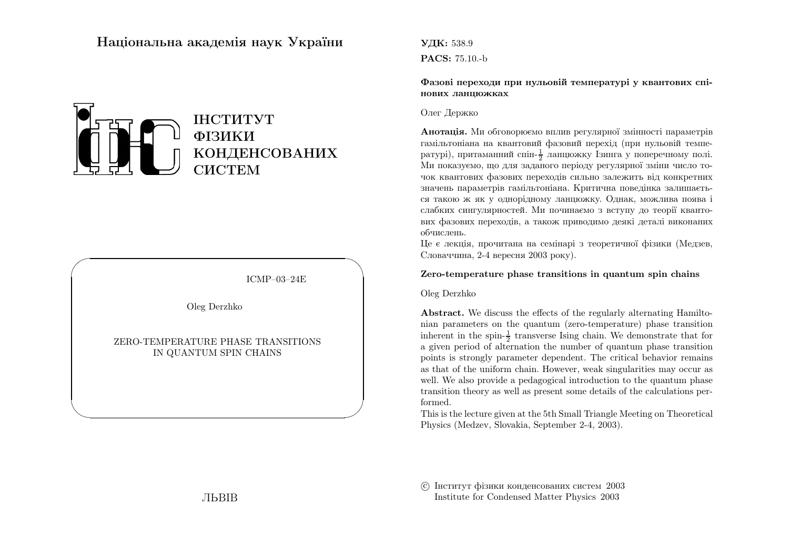# Нацiональна академiя наук України



ICMP–03–24E

✩

 $\overline{\phantom{a}}$ 

Oleg Derzhko

 $\sqrt{2}$ 

 $\setminus$ 

ZERO-TEMPERATURE PHASE TRANSITIONSIN QUANTUM SPIN CHAINS

УДК: 538.9PACS: 75.10.-b

Фазовi переходи при нульовiй температурi у квантових спiнових ланцюжках

#### Олег Держко

**Анотація.** Ми обговорюємо вплив регулярної змінності параметрів гамiльтонiана на квантовий фазовий перехiд (при нульовiй температурi), притаманни<sup>й</sup> спiн-1 2 ланцюжку Iзинга <sup>у</sup> поперечному полi. Ми показуємо, що для заданого перiоду регулярної змiни число точок квантових фазових переходiв сильно залежить вiд конкретних значень параметрiв гамiльтонiана. Критична поведiнка залишається такою <sup>ж</sup> як <sup>у</sup> однорiдному ланцюжку. Однак, можлива поява i слабких сингулярностей. Ми починаємо <sup>з</sup> вступу до теорiї квантових фазових переходiв, <sup>а</sup> також приводимо деякi деталi виконанихобчислень.

 Це <sup>є</sup> лекцiя, прочитана на семiнарi <sup>з</sup> теоретично<sup>ї</sup> фiзики (Медзев,Словаччина, 2-4 вересня <sup>2003</sup> року).

#### Zero-temperature phase transitions in quantum spin chains

Oleg Derzhko

Abstract. We discuss the effects of the regularly alternating Hamiltonian parameters on the quantum (zero-temperature) <sup>p</sup>hase transitioninherent in the spin- $\frac{1}{2}$  transverse Ising chain. We demonstrate that for <sup>a</sup> given period of alternation the number of quantum <sup>p</sup>hase transition points is strongly parameter dependent. The critical behavior remains as that of the uniform chain. However, weak singularities may occur as well. We also provide <sup>a</sup> pedagogical introduction to the quantum phase transition theory as well as present some details of the calculations performed.

 This is the lecture given at the 5th Small Triangle Meeting on Theoretical Physics (Medzev, Slovakia, September 2-4, 2003).

 c Iнститут фiзики конденсованих систем <sup>2003</sup>Institute for Condensed Matter Physics 2003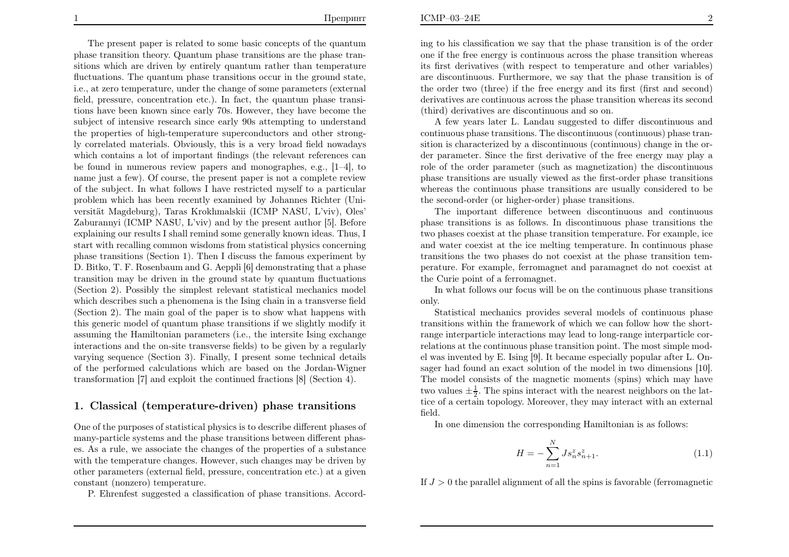The present paper is related to some basic concepts of the quantum <sup>p</sup>hase transition theory. Quantum <sup>p</sup>hase transitions are the <sup>p</sup>hase transitions which are driven by entirely quantum rather than temperature fluctuations. The quantum <sup>p</sup>hase transitions occur in the ground state, i.e., at zero temperature, under the change of some parameters (external field, pressure, concentration etc.). In fact, the quantum <sup>p</sup>hase transitions have been known since early 70s. However, they have become the subject of intensive research since early 90s attempting to understand the properties of high-temperature superconductors and other strongly correlated materials. Obviously, this is <sup>a</sup> very broad field nowadays which contains <sup>a</sup> lot of important findings (the relevant references can be found in numerous review papers and monographes, e.g., [1–4], to name just <sup>a</sup> few). Of course, the present paper is not <sup>a</sup> complete review of the subject. In what follows I have restricted myself to <sup>a</sup> particular problem which has been recently examined by Johannes Richter (Universität Magdeburg), Taras Krokhmalskii (ICMP NASU, L'viv), Oles' Zaburannyi (ICMP NASU, L'viv) and by the present author [5]. Before explaining our results I shall remind some generally known ideas. Thus, I start with recalling common wisdoms from statistical <sup>p</sup>hysics concerning <sup>p</sup>hase transitions (Section 1). Then <sup>I</sup> discuss the famous experiment by D. Bitko, T. F. Rosenbaum and G. Aeppli [6] demonstrating that <sup>a</sup> <sup>p</sup>hase transition may be driven in the ground state by quantum fluctuations (Section 2). Possibly the simplest relevant statistical mechanics modelwhich describes such <sup>a</sup> <sup>p</sup>henomena is the Ising chain in <sup>a</sup> transverse field (Section 2). The main goa<sup>l</sup> of the paper is to show what happens with this generic model of quantum <sup>p</sup>hase transitions if we slightly modify it assuming the Hamiltonian parameters (i.e., the intersite Ising exchange interactions and the on-site transverse fields) to be <sup>g</sup>iven by <sup>a</sup> regularly varying sequence (Section 3). Finally, <sup>I</sup> present some technical details of the performed calculations which are based on the Jordan-Wignertransformation [7] and exploit the continued fractions [8] (Section 4).

## 1. Classical (temperature-driven) <sup>p</sup>hase transitions

One of the purposes of statistical <sup>p</sup>hysics is to describe different <sup>p</sup>hases of many-particle systems and the <sup>p</sup>hase transitions between different <sup>p</sup>hases. As <sup>a</sup> rule, we associate the changes of the properties of <sup>a</sup> substance with the temperature changes. However, such changes may be driven by other parameters (external field, pressure, concentration etc.) at <sup>a</sup> <sup>g</sup>iven constant (nonzero) temperature.

P. Ehrenfest suggested <sup>a</sup> classification of <sup>p</sup>hase transitions. Accord-

ing to his classification we say that the <sup>p</sup>hase transition is of the order one if the free energy is continuous across the <sup>p</sup>hase transition whereas its first derivatives (with respect to temperature and other variables) are discontinuous. Furthermore, we say that the <sup>p</sup>hase transition is ofthe order two (three) if the free energy and its first (first and second) derivatives are continuous across the phase transition whereas its second (third) derivatives are discontinuous and so on.

 A few years later L. Landau suggested to differ discontinuous and continuous <sup>p</sup>hase transitions. The discontinuous (continuous) <sup>p</sup>hase tran sition is characterized by <sup>a</sup> discontinuous (continuous) change in the or der parameter. Since the first derivative of the free energy may <sup>p</sup>lay <sup>a</sup> role of the order parameter (such as magnetization) the discontinuous <sup>p</sup>hase transitions are usually viewed as the first-order <sup>p</sup>hase transitions whereas the continuous phase transitions are usually considered to bethe second-order (or higher-order) <sup>p</sup>hase transitions.

The important difference between discontinuous and continuous phase transitions is as follows. In discontinuous phase transitions the two phases coexist at the phase transition temperature. For example, ice and water coexist at the ice melting temperature. In continuous phase transitions the two phases do not coexist at the phase transition tem perature. For example, ferromagnet and paramagnet do not coexist atthe Curie point of <sup>a</sup> ferromagnet.

 In what follows our focus will be on the continuous phase transitionsonly.<br>Statistical mechanics provides several models of continuous phase

 transitions within the framework of which we can follow how the short range interparticle interactions may lead to long-range interparticle cor relations at the continuous phase transition point. The most simple mod el was invented by E. Ising [9]. It became especially popular after L. On sager had found an exact solution of the model in two dimensions [10]. The model consists of the magnetic moments (spins) which may have two values  $\pm \frac{1}{2}$ . The spins interact with the nearest neighbors on the lat- tice of <sup>a</sup> certain topology. Moreover, they may interact with an external field.

In one dimension the corresponding Hamiltonian is as follows:

$$
H = -\sum_{n=1}^{N} J s_n^z s_{n+1}^z.
$$
 (1.1)

If  $J > 0$  the parallel alignment of all the spins is favorable (ferromagnetic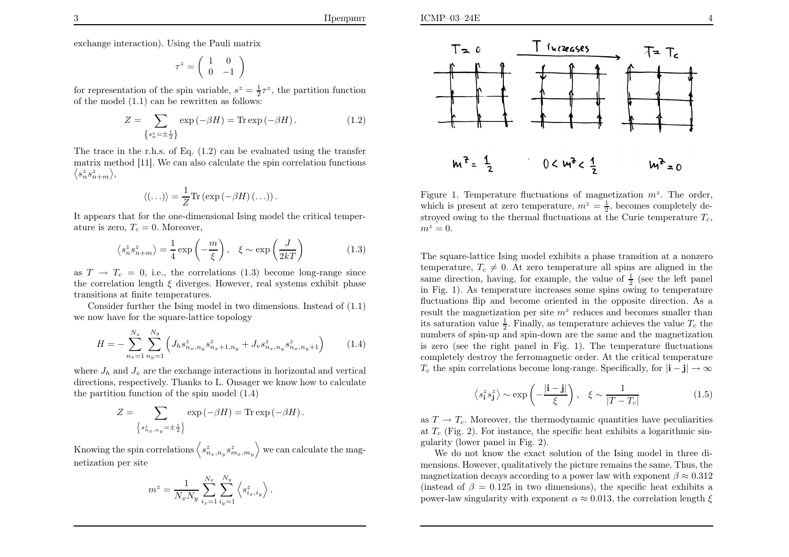exchange interaction). Using the Pauli matrix

$$
\tau^z = \left(\begin{array}{cc} 1 & 0 \\ 0 & -1 \end{array}\right)
$$

for representation of the spin variable,  $s^z = \frac{1}{2}\tau^z$ , the partition function of the model (1.1) can be rewritten as follows:

$$
Z = \sum_{\left\{s_n^z = \pm \frac{1}{2}\right\}} \exp\left(-\beta H\right) = \text{Tr}\exp\left(-\beta H\right). \tag{1.2}
$$

The trace in the r.h.s. of Eq. (1.2) can be evaluated using the transfer matrix method [11]. We can also calculate the spin correlation functions $\langle s_n^z s_{n+m}^z \rangle,$ 

$$
\langle (\ldots) \rangle = \frac{1}{Z} \text{Tr} \left( \exp \left( -\beta H \right) (\ldots) \right).
$$

 It appears that for the one-dimensional Ising model the critical temperature is zero,  $T_c = 0$ . Moreover,

$$
\langle s_n^z s_{n+m}^z \rangle = \frac{1}{4} \exp\left(-\frac{m}{\xi}\right), \quad \xi \sim \exp\left(\frac{J}{2kT}\right) \tag{1.3}
$$

as  $T \rightarrow T_c = 0$ , i.e., the correlations (1.3) become long-range since the correlation length  $\xi$  diverges. However, real systems exhibit phase transitions at finite temperatures.

Consider further the Ising model in two dimensions. Instead of (1.1) we now have for the square-lattice topology

$$
H = -\sum_{n_x=1}^{N_x} \sum_{n_y=1}^{N_y} \left( J_h s_{n_x,n_y}^z s_{n_x+1,n_y}^z + J_v s_{n_x,n_y}^z s_{n_x,n_y+1}^z \right) \tag{1.4}
$$

where  $J_h$  and  $J_v$  are the exchange interactions in horizontal and vertical directions, respectively. Thanks to L. Onsager we know how to calculatethe partition function of the spin model (1.4)

$$
Z = \sum_{\{s_{n_x,n_y}^z = \pm \frac{1}{2}\}} \exp(-\beta H) = \text{Tr} \exp(-\beta H).
$$

Knowing the spin correlations  $\Big\langle s\Big\rangle$  $_{n_x,n_y}^zs$  $\binom{z}{m_x,m_y}$  we can calculate the magnetization per site

$$
m^z = \frac{1}{N_x N_y} \sum_{i_x=1}^{N_x} \sum_{i_y=1}^{N_y} \left\langle s_{i_x, i_y}^z \right\rangle
$$



Figure 1. Temperature fluctuations of magnetization  $m^z$ . The order, which is present at zero temperature,  $m^z = \frac{1}{2}$ , becomes completely destroyed owing to the thermal fluctuations at the Curie temperature  $T_c$ ,  $m^z=0.$ 

The square-lattice Ising model exhibits <sup>a</sup> phase transition at <sup>a</sup> nonzero temperature,  $T_c \neq 0$ . At zero temperature all spins are aligned in the same direction, having, for example, the value of  $\frac{1}{2}$  (see the left panel in Fig. 1). As temperature increases some spins owing to temperature fluctuations flip and become oriented in the opposite direction. As <sup>a</sup>result the magnetization per site  $m^z$  reduces and becomes smaller than its saturation value  $\frac{1}{2}$ . Finally, as temperature achieves the value  $T_c$  the numbers of spin-up and spin-down are the same and the magnetization is zero (see the right pane<sup>l</sup> in Fig. 1). The temperature fluctuations completely destroy the ferromagnetic order. At the critical temperature $T_c$  the spin correlations become long-range. Specifically, for  $|\mathbf{i} - \mathbf{j}| \to \infty$ 

$$
\langle s_i^z s_j^z \rangle \sim \exp\left(-\frac{|\mathbf{i} - \mathbf{j}|}{\xi}\right), \quad \xi \sim \frac{1}{|T - T_c|}
$$
 (1.5)

as  $T \rightarrow T_c$ . Moreover, the thermodynamic quantities have peculiarities at  $T_c$  (Fig. 2). For instance, the specific heat exhibits a logarithmic singularity (lower pane<sup>l</sup> in Fig. 2).

We do not know the exact solution of the Ising model in three di mensions. However, qualitatively the picture remains the same. Thus, themagnetization decays according to a power law with exponent  $\beta \approx 0.312$ (instead of  $\beta = 0.125$  in two dimensions), the specific heat exhibits a power-law singularity with exponent  $\alpha \approx 0.013$ , the correlation length  $\xi$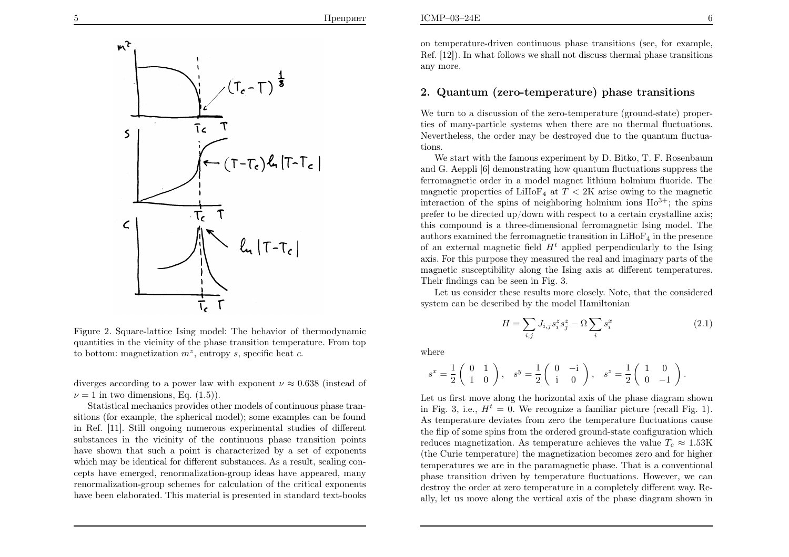

Figure 2. Square-lattice Ising model: The behavior of thermodynamic quantities in the vicinity of the <sup>p</sup>hase transition temperature. From topto bottom: magnetization  $m^z$ , entropy s, specific heat c.

diverges according to a power law with exponent  $\nu \approx 0.638$  (instead of  $\nu = 1$  in two dimensions, Eq. (1.5)).

Statistical mechanics provides other models of continuous <sup>p</sup>hase transitions (for example, the spherical model); some examples can be found in Ref. [11]. Still ongoing numerous experimental studies of different substances in the vicinity of the continuous <sup>p</sup>hase transition points have shown that such <sup>a</sup> point is characterized by <sup>a</sup> set of exponents which may be identical for different substances. As <sup>a</sup> result, scaling concepts have emerged, renormalization-group ideas have appeared, many renormalization-group schemes for calculation of the critical exponentshave been elaborated. This material is presented in standard text-books

on temperature-driven continuous <sup>p</sup>hase transitions (see, for example, Ref. [12]). In what follows we shall not discuss thermal <sup>p</sup>hase transitionsany more.

## 2. Quantum (zero-temperature) <sup>p</sup>hase transitions

We turn to a discussion of the zero-temperature (ground-state) properties of many-particle systems when there are no thermal fluctuations.Nevertheless, the order may be destroyed due to the quantum fluctuations.

We start with the famous experiment by D. Bitko, T. F. Rosenbaum and G. Aeppli [6] demonstrating how quantum fluctuations suppress the ferromagnetic order in <sup>a</sup> model magnet lithium holmium fluoride. Themagnetic properties of  $\text{LiHoF}_4$  at  $T < 2K$  arise owing to the magnetic interaction of the spins of neighboring holmium ions  $Ho^{3+}$ ; the spins prefer to be directed up/down with respect to <sup>a</sup> certain crystalline axis; this compound is <sup>a</sup> three-dimensional ferromagnetic Ising model. Theauthors examined the ferromagnetic transition in  $LiHoF<sub>4</sub>$  in the presence of an external magnetic field  $H<sup>t</sup>$  applied perpendicularly to the Ising axis. For this purpose they measured the real and imaginary parts of the magnetic susceptibility along the Ising axis at different temperatures.Their findings can be seen in Fig. 3.

 Let us consider these results more closely. Note, that the consideredsystem can be described by the model Hamiltonian

$$
H = \sum_{i,j} J_{i,j} s_i^z s_j^z - \Omega \sum_i s_i^x \tag{2.1}
$$

where

$$
s^x = \frac{1}{2} \begin{pmatrix} 0 & 1 \\ 1 & 0 \end{pmatrix}, \quad s^y = \frac{1}{2} \begin{pmatrix} 0 & -i \\ i & 0 \end{pmatrix}, \quad s^z = \frac{1}{2} \begin{pmatrix} 1 & 0 \\ 0 & -1 \end{pmatrix}.
$$

Let us first move along the horizontal axis of the <sup>p</sup>hase diagram shownin Fig. 3, i.e.,  $H<sup>t</sup> = 0$ . We recognize a familiar picture (recall Fig. 1). As temperature deviates from zero the temperature fluctuations cause the flip of some spins from the ordered ground-state configuration whichreduces magnetization. As temperature achieves the value  $T_c \approx 1.53$ K (the Curie temperature) the magnetization becomes zero and for higher temperatures we are in the paramagnetic phase. That is <sup>a</sup> conventional <sup>p</sup>hase transition driven by temperature fluctuations. However, we can destroy the order at zero temperature in <sup>a</sup> completely different way. Really, let us move along the vertical axis of the <sup>p</sup>hase diagram shown in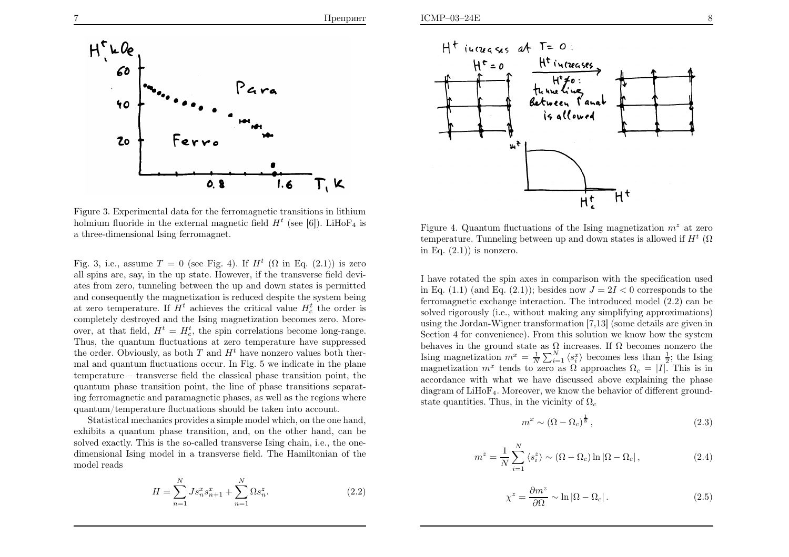

Figure 3. Experimental data for the ferromagnetic transitions in lithiumholmium fluoride in the external magnetic field  $H<sup>t</sup>$  (see [6]). LiHoF<sub>4</sub> is <sup>a</sup> three-dimensional Ising ferromagnet.

Fig. 3, i.e., assume  $T = 0$  (see Fig. 4). If  $H^t$  ( $\Omega$  in Eq. (2.1)) is zero all spins are, say, in the up state. However, if the transverse field deviates from zero, tunneling between the up and down states is permitted and consequently the magnetization is reduced despite the system beingat zero temperature. If  $H<sup>t</sup>$  achieves the critical value  $H<sup>t</sup>$  the order is completely destroyed and the Ising magnetization becomes zero. Moreover, at that field,  $H^t = H_c^t$ , the spin correlations become long-range. Thus, the quantum fluctuations at zero temperature have suppressedthe order. Obviously, as both  $T$  and  $H<sup>t</sup>$  have nonzero values both thermal and quantum fluctuations occur. In Fig. 5 we indicate in the <sup>p</sup>lane temperature – transverse field the classical phase transition point, the quantum phase transition point, the line of phase transitions separating ferromagnetic and paramagnetic <sup>p</sup>hases, as well as the regions wherequantum/temperature fluctuations should be taken into account.

Statistical mechanics provides <sup>a</sup> simple model which, on the one hand, exhibits <sup>a</sup> quantum phase transition, and, on the other hand, can be solved exactly. This is the so-called transverse Ising chain, i.e., the onedimensional Ising model in <sup>a</sup> transverse field. The Hamiltonian of themodel reads

$$
H = \sum_{n=1}^{N} J s_n^x s_{n+1}^x + \sum_{n=1}^{N} \Omega s_n^z.
$$
 (2.2)



Figure 4. Quantum fluctuations of the Ising magnetization  $m^z$  at zero temperature. Tunneling between up and down states is allowed if  $H<sup>t</sup>$  ( $\Omega$ in Eq.  $(2.1)$  is nonzero.

I have rotated the spin axes in comparison with the specification usedin Eq.  $(1.1)$  (and Eq.  $(2.1)$ ); besides now  $J = 2I < 0$  corresponds to the ferromagnetic exchange interaction. The introduced model (2.2) can be solved rigorously (i.e., without making any simplifying approximations) using the Jordan-Wigner transformation [7,13] (some details are <sup>g</sup>iven in Section <sup>4</sup> for convenience). From this solution we know how the systembehaves in the ground state as  $\Omega$  increases. If  $\Omega$  becomes nonzero the Ising magnetization  $m^x = \frac{1}{N} \sum_{i=1}^N \langle s_i^x \rangle$  becomes less than  $\frac{1}{2}$ ; the Ising<br>magnetization  $m^x$  tends to zero as Q approaches  $Q = |I|$ . This is in magnetization  $m^x$  tends to zero as  $\Omega$  approaches  $\Omega_c = |I|$ . This is in accordance with what we have discussed above explaining the <sup>p</sup>hase diagram of  $LiHoF<sub>4</sub>$ . Moreover, we know the behavior of different groundstate quantities. Thus, in the vicinity of  $\Omega_c$ 

$$
m^x \sim (\Omega - \Omega_c)^{\frac{1}{8}},\tag{2.3}
$$

$$
m^{z} = \frac{1}{N} \sum_{i=1}^{N} \langle s_{i}^{z} \rangle \sim (\Omega - \Omega_{c}) \ln |\Omega - \Omega_{c}|, \qquad (2.4)
$$

$$
\chi^z = \frac{\partial m^z}{\partial \Omega} \sim \ln |\Omega - \Omega_c| \,. \tag{2.5}
$$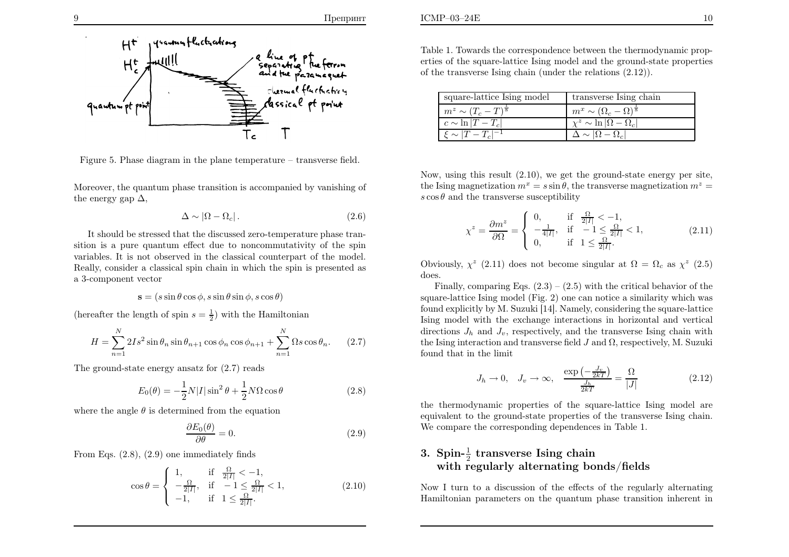



Figure 5. Phase diagram in the <sup>p</sup>lane temperature – transverse field.

Moreover, the quantum <sup>p</sup>hase transition is accompanied by vanishing ofthe energy gap  $\Delta$ ,

$$
\Delta \sim |\Omega - \Omega_c| \,. \tag{2.6}
$$

It should be stressed that the discussed zero-temperature phase transition is <sup>a</sup> pure quantum effect due to noncommutativity of the spin variables. It is not observed in the classical counterpart of the model.Really, consider <sup>a</sup> classical spin chain in which the spin is presented as<sup>a</sup> 3-component vector

$$
\mathbf{s} = (s\sin\theta\cos\phi, s\sin\theta\sin\phi, s\cos\theta)
$$

(hereafter the length of spin  $s = \frac{1}{2}$ ) with the Hamiltonian

$$
H = \sum_{n=1}^{N} 2Is^2 \sin \theta_n \sin \theta_{n+1} \cos \phi_n \cos \phi_{n+1} + \sum_{n=1}^{N} \Omega s \cos \theta_n.
$$
 (2.7)

The ground-state energy ansatz for (2.7) reads

$$
E_0(\theta) = -\frac{1}{2}N|I|\sin^2\theta + \frac{1}{2}N\Omega\cos\theta
$$
\n(2.8)

where the angle  $\theta$  is determined from the equation

$$
\frac{\partial E_0(\theta)}{\partial \theta} = 0. \tag{2.9}
$$

From Eqs. (2.8), (2.9) one immediately finds

$$
\cos \theta = \begin{cases} 1, & \text{if } \frac{\Omega}{2|I|} < -1, \\ -\frac{\Omega}{2|I|}, & \text{if } -1 \le \frac{\Omega}{2|I|} < 1, \\ -1, & \text{if } 1 \le \frac{\Omega}{2|I|}. \end{cases}
$$
(2.10)

| square-lattice Ising model        | transverse Ising chain                        |
|-----------------------------------|-----------------------------------------------|
| $m^z \sim (T_c-T)^{\overline{s}}$ | $m^x \sim (\Omega_c - \Omega)^{\overline{s}}$ |
| $c \sim \ln  T-T_c $              | $\chi^z \sim \ln  \Omega - \Omega_c $         |
| $\xi \sim  T-T_c ^{-1}$           | $\Delta \sim  \Omega - \Omega_c $             |
|                                   |                                               |

Now, using this result (2.10), we get the ground-state energy per site,the Ising magnetization  $m^x = s \sin \theta$ , the transverse magnetization  $m^z =$  $s \cos \theta$  and the transverse susceptibility

$$
\chi^z = \frac{\partial m^z}{\partial \Omega} = \begin{cases} 0, & \text{if } \frac{\Omega}{2|I|} < -1, \\ -\frac{1}{4|I|}, & \text{if } -1 \le \frac{\Omega}{2|I|} < 1, \\ 0, & \text{if } 1 \le \frac{\Omega}{2|I|}. \end{cases} \tag{2.11}
$$

Obviously,  $\chi^z$  (2.11) does not become singular at  $\Omega = \Omega_c$  as  $\chi^z$  (2.5) does.

Finally, comparing Eqs.  $(2.3) - (2.5)$  with the critical behavior of the square-lattice Ising model (Fig. 2) one can notice <sup>a</sup> similarity which was found explicitly by M. Suzuki [14]. Namely, considering the square-lattice Ising model with the exchange interactions in horizontal and verticaldirections  $J_h$  and  $J_v$ , respectively, and the transverse Ising chain with the Ising interaction and transverse field  $J$  and  $\Omega$ , respectively, M. Suzuki found that in the limit

$$
J_h \to 0, \quad J_v \to \infty, \quad \frac{\exp\left(-\frac{J_v}{2kT}\right)}{\frac{J_h}{2kT}} = \frac{\Omega}{|J|} \tag{2.12}
$$

the thermodynamic properties of the square-lattice Ising model are equivalent to the ground-state properties of the transverse Ising chain.We compare the corresponding dependences in Table 1.

# 3. Spin- $\frac{1}{2}$  transverse Ising chain with regularly alternating bonds/fields

Now I turn to <sup>a</sup> discussion of the effects of the regularly alternatingHamiltonian parameters on the quantum phase transition inherent in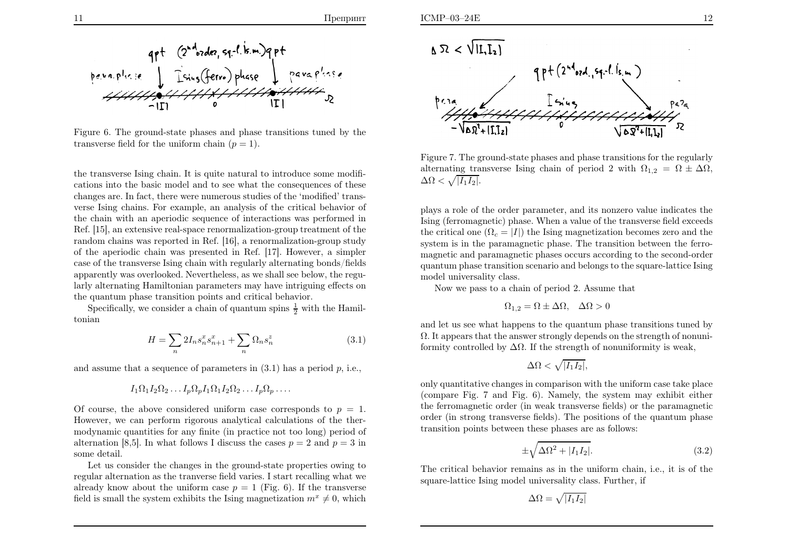

Figure 6. The ground-state phases and phase transitions tuned by thetransverse field for the uniform chain  $(p = 1)$ .

the transverse Ising chain. It is quite natural to introduce some modifications into the basic model and to see what the consequences of these changes are. In fact, there were numerous studies of the 'modified' transverse Ising chains. For example, an analysis of the critical behavior of the chain with an aperiodic sequence of interactions was performed in Ref. [15], an extensive real-space renormalization-group treatment of the random chains was reported in Ref. [16], <sup>a</sup> renormalization-group study of the aperiodic chain was presented in Ref. [17]. However, <sup>a</sup> simpler case of the transverse Ising chain with regularly alternating bonds/fields apparently was overlooked. Nevertheless, as we shall see below, the regularly alternating Hamiltonian parameters may have intriguing effects onthe quantum phase transition points and critical behavior.

Specifically, we consider a chain of quantum spins  $\frac{1}{2}$  with the Hamiltonian

$$
H = \sum_{n} 2I_n s_n^x s_{n+1}^x + \sum_{n} \Omega_n s_n^z \tag{3.1}
$$

and assume that a sequence of parameters in  $(3.1)$  has a period  $p$ , i.e.,

$$
I_1\Omega_1I_2\Omega_2\ldots I_p\Omega_pI_1\Omega_1I_2\Omega_2\ldots I_p\Omega_p\ldots
$$

Of course, the above considered uniform case corresponds to  $p = 1$ . However, we can perform rigorous analytical calculations of the thermodynamic quantities for any finite (in practice not too long) period ofalternation [8,5]. In what follows I discuss the cases  $p = 2$  and  $p = 3$  in some detail.

 Let us consider the changes in the ground-state properties owing to regular alternation as the tranverse field varies. I start recalling what wealready know about the uniform case  $p = 1$  (Fig. 6). If the transverse field is small the system exhibits the Ising magnetization  $m^x \neq 0$ , which



Figure 7. The ground-state <sup>p</sup>hases and <sup>p</sup>hase transitions for the regularlyalternating transverse Ising chain of period 2 with  $\Omega_{1,2} = \Omega \pm \Delta \Omega$ ,  $\Delta\Omega < \sqrt{|I_1I_2|}.$ 

<sup>p</sup>lays <sup>a</sup> role of the order parameter, and its nonzero value indicates the Ising (ferromagnetic) <sup>p</sup>hase. When <sup>a</sup> value of the transverse field exceeds the critical one  $(\Omega_c = |I|)$  the Ising magnetization becomes zero and the system is in the paramagnetic phase. The transition between the ferromagnetic and paramagnetic phases occurs according to the second-order quantum phase transition scenario and belongs to the square-lattice Isingmodel universality class.

Now we pass to <sup>a</sup> chain of period 2. Assume that

$$
\Omega_{1,2} = \Omega \pm \Delta \Omega, \quad \Delta \Omega > 0
$$

and let us see what happens to the quantum phase transitions tuned by Ω. It appears that the answer strongly depends on the strength of nonuniformity controlled by  $\Delta\Omega$ . If the strength of nonuniformity is weak,

$$
\Delta\Omega < \sqrt{|I_1I_2|},
$$

only quantitative changes in comparison with the uniform case take <sup>p</sup>lace (compare Fig. <sup>7</sup> and Fig. 6). Namely, the system may exhibit either the ferromagnetic order (in weak transverse fields) or the paramagnetic order (in strong transverse fields). The positions of the quantum <sup>p</sup>hasetransition points between these phases are as follows:

$$
\pm \sqrt{\Delta \Omega^2 + |I_1 I_2|}.\tag{3.2}
$$

The critical behavior remains as in the uniform chain, i.e., it is of thesquare-lattice Ising model universality class. Further, if

$$
\Delta\Omega = \sqrt{|I_1 I_2|}
$$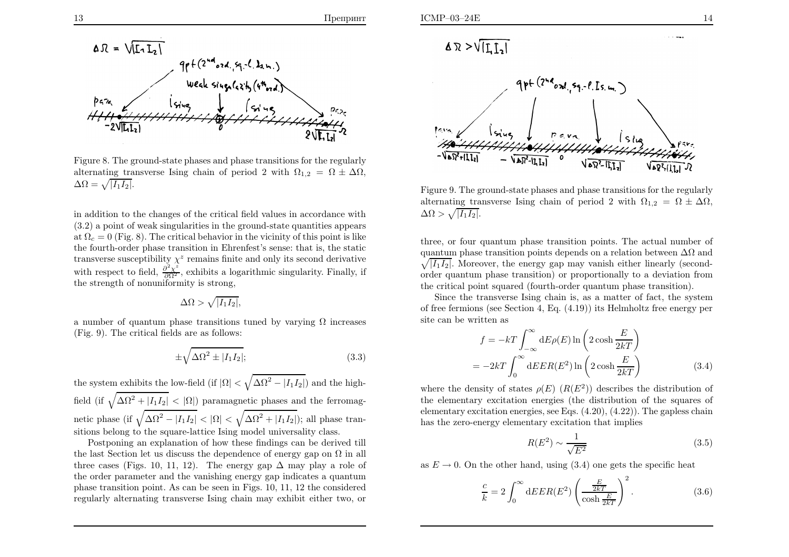

Figure 8. The ground-state <sup>p</sup>hases and <sup>p</sup>hase transitions for the regularlyalternating transverse Ising chain of period 2 with  $\Omega_{1,2} = \Omega \pm \Delta \Omega$ ,  $\Delta\Omega = \sqrt{|I_1I_2|}.$ 

in addition to the changes of the critical field values in accordance with (3.2) <sup>a</sup> point of weak singularities in the ground-state quantities appearsat  $\Omega_c = 0$  (Fig. 8). The critical behavior in the vicinity of this point is like the fourth-order phase transition in Ehrenfest's sense: that is, the statictransverse susceptibility  $\chi^z$  remains finite and only its second derivative with respect to field,  $\frac{\partial^2 \chi^z}{\partial \Omega^2}$ , exhibits a logarithmic singularity. Finally, if the strength of nonuniformity is strong,

$$
\Delta\Omega > \sqrt{|I_1I_2|},
$$

a number of quantum phase transitions tuned by varying  $Ω$  increases (Fig. 9). The critical fields are as follows:

$$
\pm \sqrt{\Delta \Omega^2 \pm |I_1 I_2|};\tag{3.3}
$$

the system exhibits the low-field (if  $|\Omega| < \sqrt{\Delta \Omega^2 - |I_1 I_2|}$ ) and the highfield (if  $\sqrt{\Delta\Omega^2 + |I_1I_2|} < |\Omega|$ ) paramagnetic phases and the ferromagnetic phase (if  $\sqrt{\Delta\Omega^2 - |I_1I_2|} < |\Omega| < \sqrt{\Delta\Omega^2 + |I_1I_2|}$ ); all phase transitions belong to the square-lattice Ising model universality class.

 Postponing an explanation of how these findings can be derived tillthe last Section let us discuss the dependence of energy gap on  $\Omega$  in all three cases (Figs. 10, 11, 12). The energy gap  $\Delta$  may play a role of the endomorphism and the uniclear approximation of the energy sense indicates a guaratum the order parameter and the vanishing energy gap indicates <sup>a</sup> quantum <sup>p</sup>hase transition point. As can be seen in Figs. 10, 11, 12 the consideredregularly alternating transverse Ising chain may exhibit either two, or

$$
\Delta \mathcal{R} > \sqrt{[\text{L}]_2}
$$



Figure 9. The ground-state <sup>p</sup>hases and <sup>p</sup>hase transitions for the regularlyalternating transverse Ising chain of period 2 with  $\Omega_{1,2} = \Omega \pm \Delta \Omega$ ,  $\Delta\Omega > \sqrt{|I_1I_2|}.$ 

three, or four quantum phase transition points. The actual number ofquantum phase transition points depends on a relation between  $\Delta\Omega$  and  $\sqrt{|I_1I_2|}$ . Moreover, the energy gap may vanish either linearly (secondorder quantum <sup>p</sup>hase transition) or proportionally to <sup>a</sup> deviation fromthe critical point squared (fourth-order quantum <sup>p</sup>hase transition).

 Since the transverse Ising chain is, as <sup>a</sup> matter of fact, the system of free fermions (see Section 4, Eq. (4.19)) its Helmholtz free energy persite can be written as

$$
f = -kT \int_{-\infty}^{\infty} dE \rho(E) \ln \left( 2 \cosh \frac{E}{2kT} \right)
$$

$$
= -2kT \int_{0}^{\infty} dE ER(E^2) \ln \left( 2 \cosh \frac{E}{2kT} \right)
$$
(3.4)

where the density of states  $\rho(E)$   $(R(E^2))$  describes the distribution of the elementary excitation energies (the distribution of the squares ofelementary excitation energies, see Eqs. (4.20), (4.22)). The gapless chainhas the zero-energy elementary excitation that implies

$$
R(E^2) \sim \frac{1}{\sqrt{E^2}}\tag{3.5}
$$

as  $E \to 0$ . On the other hand, using (3.4) one gets the specific heat

$$
\frac{c}{k} = 2 \int_0^\infty dE E R(E^2) \left( \frac{E}{\cosh \frac{E}{2kT}} \right)^2.
$$
 (3.6)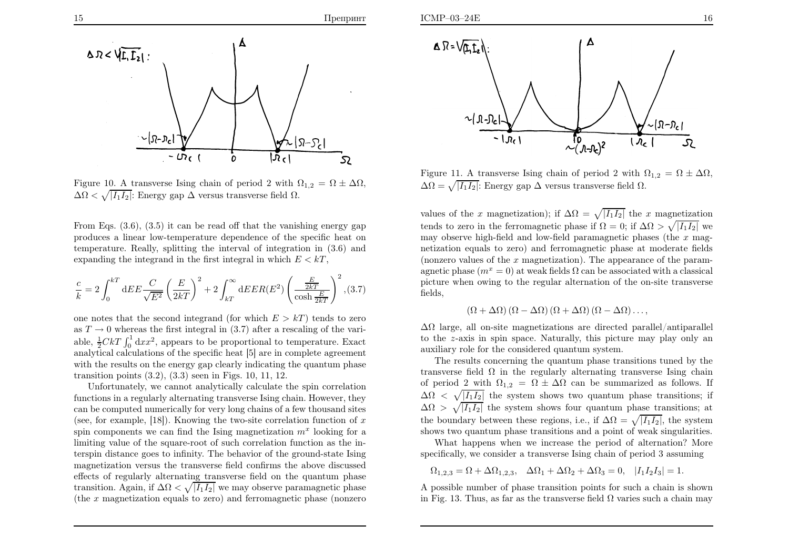

Figure 10. A transverse Ising chain of period 2 with  $\Omega_{1,2} = \Omega \pm \Delta \Omega$ ,  $\Delta\Omega < \sqrt{|I_1I_2|}$ : Energy gap  $\Delta$  versus transverse field  $\Omega$ .

From Eqs. (3.6), (3.5) it can be read off that the vanishing energy gap produces <sup>a</sup> linear low-temperature dependence of the specific heat on temperature. Really, splitting the interval of integration in (3.6) andexpanding the integrand in the first integral in which  $E < kT$ ,

$$
\frac{c}{k} = 2 \int_0^{kT} dE E \frac{C}{\sqrt{E^2}} \left(\frac{E}{2kT}\right)^2 + 2 \int_{kT}^{\infty} dE E R(E^2) \left(\frac{E}{\cosh \frac{E}{2kT}}\right)^2, (3.7)
$$

one notes that the second integrand (for which  $E > kT$ ) tends to zero as  $T \to 0$  whereas the first integral in (3.7) after a rescaling of the vari-<br>chile  $\frac{1}{2}GLT$   $\int_{0}^{1} \frac{1}{2} \text{d}m^{2}$  express to be prepartinged to temperature. From able,  $\frac{1}{2}CKT \int_0^1 dx x^2$ , appears to be proportional to temperature. Exact analytical calculations of the specific heat [5] are in complete agreement with the results on the energy gap clearly indicating the quantum phasetransition points (3.2), (3.3) seen in Figs. 10, 11, 12.

Unfortunately, we cannot analytically calculate the spin correlation functions in <sup>a</sup> regularly alternating transverse Ising chain. However, they can be computed numerically for very long chains of <sup>a</sup> few thousand sites(see, for example, [18]). Knowing the two-site correlation function of  $x$ spin components we can find the Ising magnetization  $m^x$  looking for a limiting value of the square-root of such correlation function as the interspin distance goes to infinity. The behavior of the ground-state Ising magnetization versus the transverse field confirms the above discussed effects of regularly alternating transverse field on the quantum <sup>p</sup>hasetransition. Again, if  $\Delta \Omega < \sqrt{|I_1I_2|}$  we may observe paramagnetic phase (the <sup>x</sup> magnetization equals to zero) and ferromagnetic <sup>p</sup>hase (nonzero



Figure 11. A transverse Ising chain of period 2 with  $\Omega_{1,2} = \Omega \pm \Delta \Omega$ ,  $\Delta\Omega = \sqrt{|I_1I_2|}$ : Energy gap  $\Delta$  versus transverse field  $\Omega$ .

values of the x magnetization); if  $\Delta \Omega = \sqrt{I_1 I_2}$  the x magnetization tends to zero in the ferromagnetic phase if  $\Omega = 0$ ; if  $\Delta \Omega > \sqrt{|I_1I_2|}$  we may observe high-field and low-field paramagnetic phases (the  $x$  magnetization equals to zero) and ferromagnetic <sup>p</sup>hase at moderate fields(nonzero values of the  $x$  magnetization). The appearance of the paramagnetic phase  $(m^x = 0)$  at weak fields  $\Omega$  can be associated with a classical <sup>p</sup>icture when owing to the regular alternation of the on-site transverse fields,

$$
(\Omega + \Delta \Omega) (\Omega - \Delta \Omega) (\Omega + \Delta \Omega) (\Omega - \Delta \Omega) \dots,
$$

 $\Delta\Omega$  large, all on-site magnetizations are directed parallel/antiparallel to the <sup>z</sup>-axis in spin space. Naturally, this <sup>p</sup>icture may <sup>p</sup>lay only anauxiliary role for the considered quantum system.

The results concerning the quantum phase transitions tuned by the transverse field  $\Omega$  in the regularly alternating transverse Ising chain of period 2 with  $\Omega_{1,2} = \Omega \pm \Delta \Omega$  can be summarized as follows. If  $\Delta\Omega < \sqrt{|I_1I_2|}$  the system shows two quantum phase transitions; if  $\Delta\Omega > \sqrt{|I_1I_2|}$  the system shows four quantum phase transitions; at the boundary between these regions, i.e., if  $\Delta \Omega = \sqrt{|I_1 I_2|}$ , the system shows two quantum <sup>p</sup>hase transitions and <sup>a</sup> point of weak singularities.

 What happens when we increase the period of alternation? Morespecifically, we consider <sup>a</sup> transverse Ising chain of period <sup>3</sup> assuming

 $\Omega_{1,2,3} = \Omega + \Delta \Omega_{1,2,3}, \quad \Delta \Omega_1 + \Delta \Omega_2 + \Delta \Omega_3 = 0, \quad |I_1 I_2 I_3| = 1.$ 

A possible number of phase transition points for such <sup>a</sup> chain is shown in Fig. 13. Thus, as far as the transverse field  $\Omega$  varies such a chain may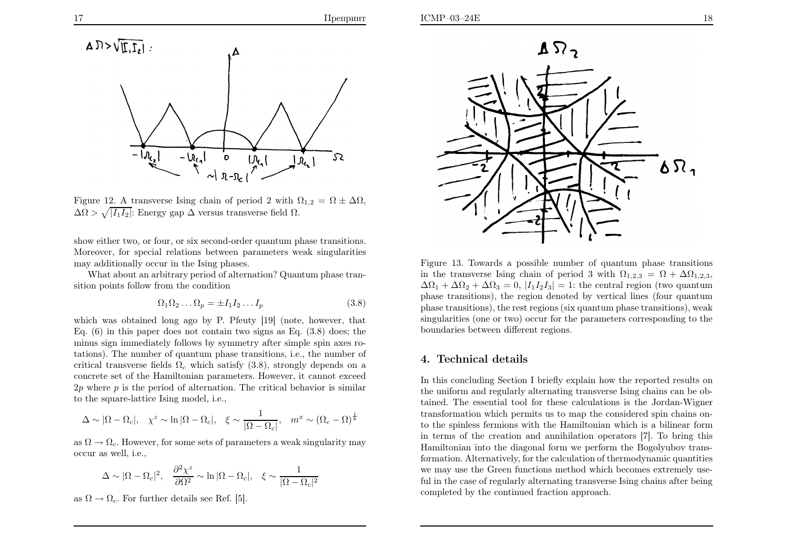

Figure 12. A transverse Ising chain of period 2 with  $\Omega_{1,2} = \Omega \pm \Delta \Omega$ ,  $\Delta\Omega > \sqrt{|I_1I_2|}$ : Energy gap  $\Delta$  versus transverse field  $\Omega$ .

show either two, or four, or six second-order quantum phase transitions.Moreover, for special relations between parameters weak singularitiesmay additionally occur in the Ising phases.

What about an arbitrary period of alternation? Quantum <sup>p</sup>hase transition points follow from the condition

$$
\Omega_1 \Omega_2 \dots \Omega_p = \pm I_1 I_2 \dots I_p \tag{3.8}
$$

which was obtained long ago by P. Pfeuty [19] (note, however, that Eq. (6) in this paper does not contain two signs as Eq. (3.8) does; the minus sign immediately follows by symmetry after simple spin axes rotations). The number of quantum <sup>p</sup>hase transitions, i.e., the number ofcritical transverse fields  $\Omega_c$  which satisfy (3.8), strongly depends on a concrete set of the Hamiltonian parameters. However, it cannot exceed $2p$  where  $p$  is the period of alternation. The critical behavior is similar to the square-lattice Ising model, i.e.,

$$
\Delta \sim |\Omega - \Omega_c|, \quad \chi^z \sim \ln |\Omega - \Omega_c|, \quad \xi \sim \frac{1}{|\Omega - \Omega_c|}, \quad m^x \sim (\Omega_c - \Omega)^{\frac{1}{8}}
$$

as  $\Omega \to \Omega_c$ . However, for some sets of parameters a weak singularity may<br>occur as well i.e occur as well, i.e.,

$$
\Delta \sim |\Omega - \Omega_c|^2, \quad \frac{\partial^2 \chi^z}{\partial \Omega^2} \sim \ln |\Omega - \Omega_c|, \quad \xi \sim \frac{1}{|\Omega - \Omega_c|^2}
$$

as  $\Omega \to \Omega_c$ . For further details see Ref. [5].



Figure 13. Towards <sup>a</sup> possible number of quantum <sup>p</sup>hase transitionsin the transverse Ising chain of period 3 with  $\Omega_{1,2,3} = \Omega + \Delta\Omega_{1,2,3}$ ,  $\Delta\Omega_1 + \Delta\Omega_2 + \Delta\Omega_3 = 0$ ,  $|I_1I_2I_3| = 1$ : the central region (two quantum <sup>p</sup>hase transitions), the region denoted by vertical lines (four quantum <sup>p</sup>hase transitions), the rest regions (six quantum <sup>p</sup>hase transitions), weak singularities (one or two) occur for the parameters corresponding to theboundaries between different regions.

#### 4. Technical details

In this concluding Section I briefly explain how the reported results on the uniform and regularly alternating transverse Ising chains can be obtained. The essential tool for these calculations is the Jordan-Wigner transformation which permits us to map the considered spin chains onto the spinless fermions with the Hamiltonian which is <sup>a</sup> bilinear form in terms of the creation and annihilation operators [7]. To bring this Hamiltonian into the diagonal form we perform the Bogolyubov transformation. Alternatively, for the calculation of thermodynamic quantities we may use the Green functions method which becomes extremely useful in the case of regularly alternating transverse Ising chains after beingcompleted by the continued fraction approach.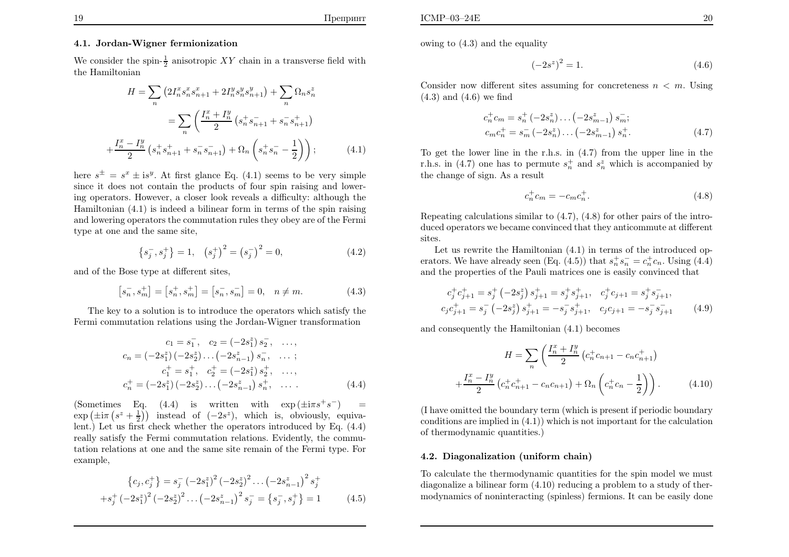We consider the spin- $\frac{1}{2}$  anisotropic XY chain in a transverse field with the Hamiltonian

$$
H = \sum_{n} \left( 2I_{n}^{x} s_{n}^{x} s_{n+1}^{x} + 2I_{n}^{y} s_{n}^{y} s_{n+1}^{y} \right) + \sum_{n} \Omega_{n} s_{n}^{z}
$$

$$
= \sum_{n} \left( \frac{I_{n}^{x} + I_{n}^{y}}{2} \left( s_{n}^{+} s_{n+1}^{-} + s_{n}^{-} s_{n+1}^{+} \right) \right)
$$

$$
+ \frac{I_{n}^{x} - I_{n}^{y}}{2} \left( s_{n}^{+} s_{n+1}^{+} + s_{n}^{-} s_{n+1}^{-} \right) + \Omega_{n} \left( s_{n}^{+} s_{n}^{-} - \frac{1}{2} \right) \right); \tag{4.1}
$$

here  $s^{\pm} = s^x \pm i s^y$ . At first glance Eq. (4.1) seems to be very simple since it does not contain the products of four spin raising and lowering operators. However, <sup>a</sup> closer look reveals <sup>a</sup> difficulty: although the Hamiltonian (4.1) is indeed <sup>a</sup> bilinear form in terms of the spin raising and lowering operators the commutation rules they obey are of the Fermitype at one and the same site,

$$
\{s_j^-, s_j^+\} = 1, \quad \left(s_j^+\right)^2 = \left(s_j^-\right)^2 = 0,\tag{4.2}
$$

and of the Bose type at different sites,

$$
[s_n^-, s_m^+] = [s_n^+, s_m^+] = [s_n^-, s_m^-] = 0, \quad n \neq m.
$$
 (4.3)

The key to <sup>a</sup> solution is to introduce the operators which satisfy theFermi commutation relations using the Jordan-Wigner transformation

$$
c_1 = s_1^-, \quad c_2 = (-2s_1^z) s_2^-, \quad \dots,
$$
  
\n
$$
c_n = (-2s_1^z) (-2s_2^z) \dots (-2s_{n-1}^z) s_n^-, \quad \dots ;
$$
  
\n
$$
c_1^+ = s_1^+, \quad c_2^+ = (-2s_1^z) s_2^+, \quad \dots,
$$
  
\n
$$
c_n^+ = (-2s_1^z) (-2s_2^z) \dots (-2s_{n-1}^z) s_n^+, \quad \dots
$$
  
\n(4.4)

(Sometimes Eq. (4.4) is written with  $\exp(\pm i\pi s^+ s^-)$  =  $\exp\left(\pm i\pi\left(s^z+\frac{1}{2}\right)\right)$  instead of  $(-2s^z)$ , which is, obviously, equiva- lent.) Let us first check whether the operators introduced by Eq. (4.4) really satisfy the Fermi commutation relations. Evidently, the commutation relations at one and the same site remain of the Fermi type. Forexample,

$$
\{c_j, c_j^+\} = s_j^- (-2s_1^z)^2 (-2s_2^z)^2 \dots (-2s_{n-1}^z)^2 s_j^+
$$
  

$$
+ s_j^+ (-2s_1^z)^2 (-2s_2^z)^2 \dots (-2s_{n-1}^z)^2 s_j^- = \{s_j^-, s_j^+\} = 1
$$
 (4.5)

owing to (4.3) and the equality

$$
(-2s^z)^2 = 1.\t\t(4.6)
$$

Consider now different sites assuming for concreteness  $n < m$ . Using (4.3) and (4.6) we find

$$
c_n^+ c_m = s_n^+ (-2s_n^z) \dots (-2s_{m-1}^z) s_m^-;
$$
  
\n
$$
c_m c_n^+ = s_m^- (-2s_n^z) \dots (-2s_{m-1}^z) s_n^+.
$$
\n(4.7)

To get the lower line in the r.h.s. in (4.7) from the upper line in the r.h.s. in (4.7) one has to permute  $s_n^+$  and  $s_n^z$  which is accompanied by the change of sign. As <sup>a</sup> result

$$
c_n^+ c_m = -c_m c_n^+.
$$
\n(4.8)

Repeating calculations similar to (4.7), (4.8) for other pairs of the introduced operators we became convinced that they anticommute at differentsites.

 Let us rewrite the Hamiltonian (4.1) in terms of the introduced operators. We have already seen (Eq. (4.5)) that  $s_n^+ s_n^- = c_n^+ c_n$ . Using (4.4) and the properties of the Pauli matrices one is easily convinced that

$$
c_j^+ c_{j+1}^+ = s_j^+ \left(-2s_j^z\right) s_{j+1}^+ = s_j^+ s_{j+1}^+, \quad c_j^+ c_{j+1} = s_j^+ s_{j+1}^-, c_j c_{j+1}^+ = s_j^- \left(-2s_j^z\right) s_{j+1}^+ = -s_j^- s_{j+1}^+, \quad c_j c_{j+1} = -s_j^- s_{j+1}^- \tag{4.9}
$$

and consequently the Hamiltonian (4.1) becomes

$$
H = \sum_{n} \left( \frac{I_n^x + I_n^y}{2} \left( c_n^+ c_{n+1} - c_n c_{n+1}^+ \right) + \frac{I_n^x - I_n^y}{2} \left( c_n^+ c_{n+1}^+ - c_n c_{n+1} \right) + \Omega_n \left( c_n^+ c_n - \frac{1}{2} \right) \right). \tag{4.10}
$$

(I have omitted the boundary term (which is present if periodic boundary conditions are implied in (4.1)) which is not important for the calculationof thermodynamic quantities.)

#### 4.2. Diagonalization (uniform chain)

To calculate the thermodynamic quantities for the spin model we must diagonalize <sup>a</sup> bilinear form (4.10) reducing <sup>a</sup> problem to <sup>a</sup> study of thermodynamics of noninteracting (spinless) fermions. It can be easily done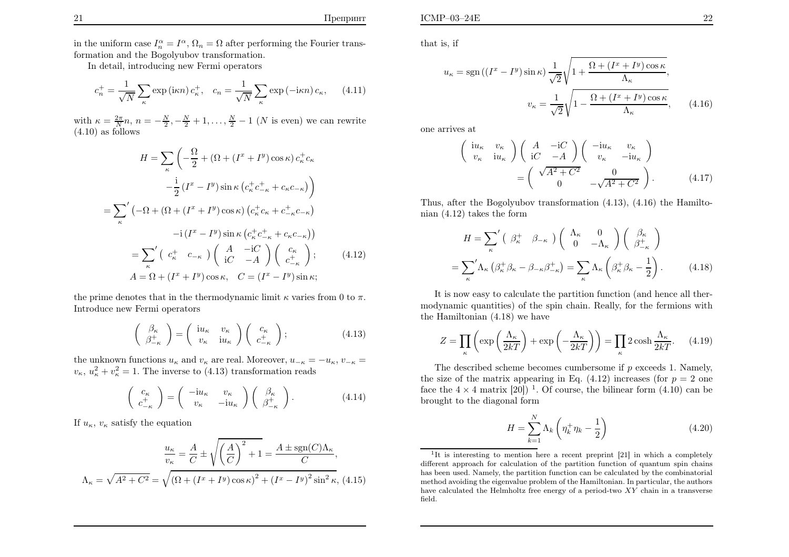ICMP–03–24E

In detail, introducing new Fermi operators

$$
c_n^+ = \frac{1}{\sqrt{N}} \sum_{\kappa} \exp\left(i\kappa n\right) c_{\kappa}^+, \quad c_n = \frac{1}{\sqrt{N}} \sum_{\kappa} \exp\left(-i\kappa n\right) c_{\kappa}, \tag{4.11}
$$

with  $\kappa = \frac{2\pi}{N}n$ ,  $n = -\frac{N}{2}, -\frac{N}{2} + 1, \ldots, \frac{N}{2} - 1$  (N is even) we can rewrite (4.10) as follows

$$
H = \sum_{\kappa} \left( -\frac{\Omega}{2} + (\Omega + (I^x + I^y) \cos \kappa) c_{\kappa}^+ c_{\kappa} \right)
$$

$$
- \frac{i}{2} (I^x - I^y) \sin \kappa (c_{\kappa}^+ c_{-\kappa}^+ + c_{\kappa} c_{-\kappa}) \right)
$$

$$
= \sum_{\kappa} \left( -\Omega + (\Omega + (I^x + I^y) \cos \kappa) (c_{\kappa}^+ c_{\kappa} + c_{-\kappa}^+ c_{-\kappa}) \right)
$$

$$
-i (I^x - I^y) \sin \kappa (c_{\kappa}^+ c_{-\kappa}^+ + c_{\kappa} c_{-\kappa}) \right)
$$

$$
= \sum_{\kappa} \left( c_{\kappa}^+ c_{-\kappa} \right) \left( \begin{array}{cc} A & -iC \\ iC & -A \end{array} \right) \left( \begin{array}{c} c_{\kappa} \\ c_{-\kappa}^+ \end{array} \right); \qquad (4.12)
$$

$$
A = \Omega + (I^x + I^y) \cos \kappa, \quad C = (I^x - I^y) \sin \kappa;
$$

the prime denotes that in the thermodynamic limit  $\kappa$  varies from 0 to  $\pi$ . Introduce new Fermi operators

$$
\begin{pmatrix}\n\beta_{\kappa} \\
\beta_{-\kappa}^{+} \\
\end{pmatrix} = \begin{pmatrix}\n\mathrm{i}u_{\kappa} & v_{\kappa} \\
v_{\kappa} & \mathrm{i}u_{\kappa}\n\end{pmatrix} \begin{pmatrix}\nc_{\kappa} \\
c_{-\kappa}^{+} \\
\end{pmatrix};
$$
\n(4.13)

the unknown functions  $u_{\kappa}$  and  $v_{\kappa}$  are real. Moreover,  $u_{-\kappa} = -u_{\kappa}$ ,  $v_{-\kappa} =$  $v_{\kappa}, u_{\kappa}^2 + v_{\kappa}^2 = 1$ . The inverse to (4.13) transformation reads

$$
\begin{pmatrix} c_{\kappa} \\ c_{-\kappa}^+ \end{pmatrix} = \begin{pmatrix} -\mathrm{i}u_{\kappa} & v_{\kappa} \\ v_{\kappa} & -\mathrm{i}u_{\kappa} \end{pmatrix} \begin{pmatrix} \beta_{\kappa} \\ \beta_{-\kappa}^+ \end{pmatrix}.
$$
 (4.14)

If  $u_{\kappa}$ ,  $v_{\kappa}$  satisfy the equation

$$
\frac{u_{\kappa}}{v_{\kappa}} = \frac{A}{C} \pm \sqrt{\left(\frac{A}{C}\right)^2 + 1} = \frac{A \pm \text{sgn}(C)\Lambda_{\kappa}}{C},
$$

$$
\Lambda_{\kappa} = \sqrt{A^2 + C^2} = \sqrt{\left(\Omega + (I^x + I^y)\cos\kappa\right)^2 + \left(I^x - I^y\right)^2 \sin^2\kappa}, \tag{4.15}
$$

that is, if

$$
u_{\kappa} = \text{sgn}\left(\left(I^{x} - I^{y}\right)\sin \kappa\right) \frac{1}{\sqrt{2}} \sqrt{1 + \frac{\Omega + \left(I^{x} + I^{y}\right)\cos \kappa}{\Lambda_{\kappa}}},
$$

$$
v_{\kappa} = \frac{1}{\sqrt{2}} \sqrt{1 - \frac{\Omega + \left(I^{x} + I^{y}\right)\cos \kappa}{\Lambda_{\kappa}}}, \qquad (4.16)
$$

one arrives at

$$
\begin{pmatrix}\n\operatorname{i}u_{\kappa} & v_{\kappa} \\
v_{\kappa} & \operatorname{i}u_{\kappa}\n\end{pmatrix}\n\begin{pmatrix}\nA & -\mathrm{i}C \\
\operatorname{i}C & -A\n\end{pmatrix}\n\begin{pmatrix}\n-\operatorname{i}u_{\kappa} & v_{\kappa} \\
v_{\kappa} & -\operatorname{i}u_{\kappa}\n\end{pmatrix}\n=\n\begin{pmatrix}\n\sqrt{A^2 + C^2} & 0 \\
0 & -\sqrt{A^2 + C^2}\n\end{pmatrix}.
$$
\n(4.17)

Thus, after the Bogolyubov transformation (4.13), (4.16) the Hamiltonian (4.12) takes the form

$$
H = \sum_{\kappa}^{\prime} \left( \begin{array}{cc} \beta_{\kappa}^{+} & \beta_{-\kappa} \end{array} \right) \left( \begin{array}{cc} \Lambda_{\kappa} & 0 \\ 0 & -\Lambda_{\kappa} \end{array} \right) \left( \begin{array}{c} \beta_{\kappa} \\ \beta_{-\kappa}^{+} \end{array} \right)
$$

$$
= \sum_{\kappa}^{\prime} \Lambda_{\kappa} \left( \beta_{\kappa}^{+} \beta_{\kappa} - \beta_{-\kappa} \beta_{-\kappa}^{+} \right) = \sum_{\kappa} \Lambda_{\kappa} \left( \beta_{\kappa}^{+} \beta_{\kappa} - \frac{1}{2} \right). \tag{4.18}
$$

It is now easy to calculate the partition function (and hence all thermodynamic quantities) of the spin chain. Really, for the fermions withthe Hamiltonian (4.18) we have

$$
Z = \prod_{\kappa} \left( \exp\left(\frac{\Lambda_{\kappa}}{2kT}\right) + \exp\left(-\frac{\Lambda_{\kappa}}{2kT}\right) \right) = \prod_{\kappa} 2\cosh\frac{\Lambda_{\kappa}}{2kT}.\tag{4.19}
$$

The described scheme becomes cumbersome if  $p$  exceeds 1. Namely, the size of the matrix appearing in Eq. (4.12) increases (for  $p = 2$  one face the  $4 \times 4$  matrix [20])<sup>1</sup>. Of course, the bilinear form  $(4.10)$  can be brought to the diagonal form

$$
H = \sum_{k=1}^{N} \Lambda_k \left( \eta_k^+ \eta_k - \frac{1}{2} \right) \tag{4.20}
$$

<sup>&</sup>lt;sup>1</sup>It is interesting to mention here a recent preprint [21] in which a completely different approach for calculation of the partition function of quantum spin chains has been used. Namely, the partition function can be calculated by the combinatorial method avoiding the eigenvalue problem of the Hamiltonian. In particular, the authorshave calculated the Helmholtz free energy of a period-two  $XY$  chain in a transverse field.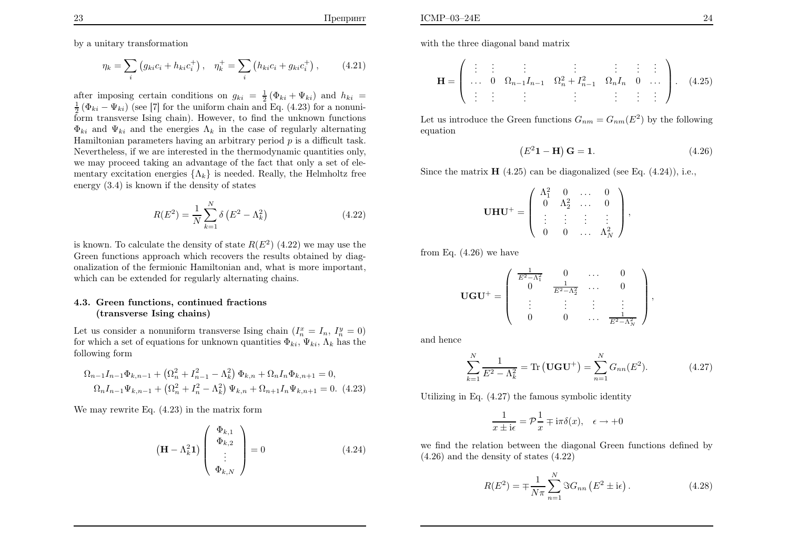$$
\eta_k = \sum_i \left( g_{ki} c_i + h_{ki} c_i^+ \right), \quad \eta_k^+ = \sum_i \left( h_{ki} c_i + g_{ki} c_i^+ \right), \tag{4.21}
$$

after imposing certain conditions on  $g_{ki} = \frac{1}{2} (\Phi_{ki} + \Psi_{ki})$  and  $h_{ki} =$  $\frac{1}{2}$  ( $\Phi_{ki} - \Psi_{ki}$ ) (see [7] for the uniform chain and Eq. (4.23) for a nonuni form transverse Ising chain). However, to find the unknown functions $\Phi_{ki}$  and  $\Psi_{ki}$  and the energies  $\Lambda_k$  in the case of regularly alternating Hamiltonian parameters having an arbitrary period  $p$  is a difficult task. Nevertheless, if we are interested in the thermodynamic quantities only, we may proceed taking an advantage of the fact that only <sup>a</sup> set of elementary excitation energies  $\{\Lambda_k\}$  is needed. Really, the Helmholtz free energy (3.4) is known if the density of states

$$
R(E^2) = \frac{1}{N} \sum_{k=1}^{N} \delta(E^2 - \Lambda_k^2)
$$
\n(4.22)

is known. To calculate the density of state  $R(E^2)$  (4.22) we may use the Green functions approach which recovers the results obtained by diagonalization of the fermionic Hamiltonian and, what is more important,which can be extended for regularly alternating chains.

### 4.3. Green functions, continued fractions(transverse Ising chains)

Let us consider a nonuniform transverse Ising chain  $(I_n^x = I_n, I_n^y = 0)$ for which a set of equations for unknown quantities  $\Phi_{ki}$ ,  $\Psi_{ki}$ ,  $\Lambda_k$  has the following form

$$
\Omega_{n-1}I_{n-1}\Phi_{k,n-1} + (\Omega_n^2 + I_{n-1}^2 - \Lambda_k^2)\Phi_{k,n} + \Omega_n I_n \Phi_{k,n+1} = 0,
$$
  

$$
\Omega_n I_{n-1}\Psi_{k,n-1} + (\Omega_n^2 + I_n^2 - \Lambda_k^2)\Psi_{k,n} + \Omega_{n+1} I_n \Psi_{k,n+1} = 0.
$$
 (4.23)

We may rewrite Eq. (4.23) in the matrix form

$$
\left(\mathbf{H} - \Lambda_k^2 \mathbf{1}\right) \begin{pmatrix} \Phi_{k,1} \\ \Phi_{k,2} \\ \vdots \\ \Phi_{k,N} \end{pmatrix} = 0 \tag{4.24}
$$

with the three diagonal band matrix

$$
\mathbf{H} = \left( \begin{array}{ccccccccc} \vdots & \vdots & \vdots & \vdots & \vdots & \vdots & \vdots \\ \dots & 0 & \Omega_{n-1}I_{n-1} & \Omega_n^2 + I_{n-1}^2 & \Omega_n I_n & 0 & \dots \\ \vdots & \vdots & \vdots & \vdots & \vdots & \vdots & \vdots \end{array} \right). \quad (4.25)
$$

Let us introduce the Green functions  $G_{nm} = G_{nm}(E^2)$  by the following equation

$$
(E21 - H) G = 1.
$$
 (4.26)

,

Since the matrix  $\mathbf{H}$  (4.25) can be diagonalized (see Eq. (4.24)), i.e.,

$$
\mathbf{UHU}^{+} = \left( \begin{array}{cccc} \Lambda_{1}^{2} & 0 & \dots & 0 \\ 0 & \Lambda_{2}^{2} & \dots & 0 \\ \vdots & \vdots & \vdots & \vdots \\ 0 & 0 & \dots & \Lambda_{N}^{2} \end{array} \right),
$$

from Eq.  $(4.26)$  we have

$$
\mathbf{U}\mathbf{G}\mathbf{U}^{+} = \left(\begin{array}{cccc} \frac{1}{E^{2}-\Lambda_{1}^{2}} & 0 & \dots & 0\\ 0 & \frac{1}{E^{2}-\Lambda_{2}^{2}} & \dots & 0\\ \vdots & \vdots & \vdots & \vdots\\ 0 & 0 & \dots & \frac{1}{E^{2}-\Lambda_{N}^{2}} \end{array}\right)
$$

and hence

$$
\sum_{k=1}^{N} \frac{1}{E^2 - \Lambda_k^2} = \text{Tr}(\mathbf{U}\mathbf{G}\mathbf{U}^+) = \sum_{n=1}^{N} G_{nn}(E^2). \tag{4.27}
$$

Utilizing in Eq. (4.27) the famous symbolic identity

$$
\frac{1}{x \pm i\epsilon} = \mathcal{P}\frac{1}{x} \mp i\pi\delta(x), \quad \epsilon \to +0
$$

we find the relation between the diagonal Green functions defined by(4.26) and the density of states (4.22)

$$
R(E^{2}) = \mp \frac{1}{N\pi} \sum_{n=1}^{N} \Im G_{nn} (E^{2} \pm i\epsilon).
$$
 (4.28)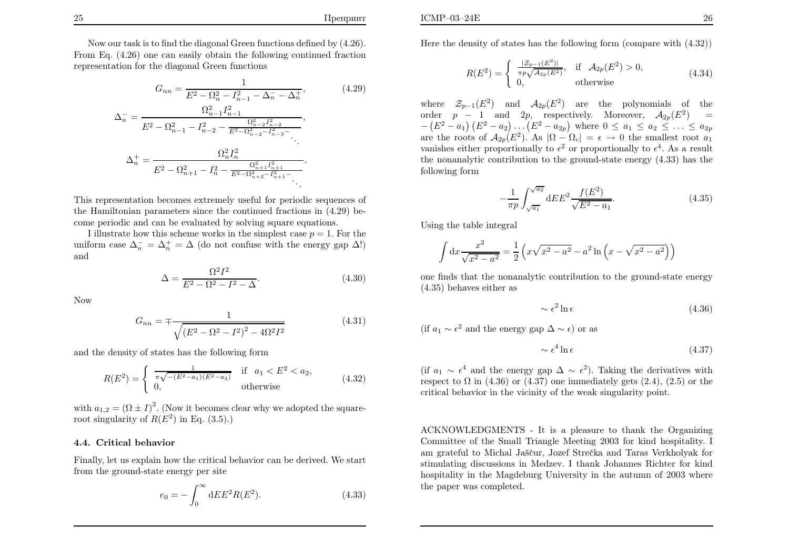Now our task is to find the diagonal Green functions defined by (4.26). From Eq. (4.26) one can easily obtain the following continued fractionrepresentation for the diagonal Green functions

$$
G_{nn} = \frac{1}{E^2 - \Omega_n^2 - I_{n-1}^2 - \Delta_n^- - \Delta_n^+},
$$
(4.29)  

$$
\Delta_n^- = \frac{\Omega_{n-1}^2 I_{n-1}^2}{E^2 - \Omega_{n-1}^2 - I_{n-2}^2 - \frac{\Omega_{n-2}^2 I_{n-2}^2}{E^2 - \Omega_{n-2}^2 - I_{n-3}^2}},
$$

$$
\Delta_n^+ = \frac{\Omega_n^2 I_n^2}{E^2 - \Omega_{n+1}^2 - I_n^2 - \frac{\Omega_{n+1}^2 I_{n+1}^2}{E^2 - \Omega_{n+2}^2 - I_{n-1}^2}}.
$$

This representation becomes extremely useful for periodic sequences of the Hamiltonian parameters since the continued fractions in (4.29) become periodic and can be evaluated by solving square equations.

I illustrate how this scheme works in the simplest case  $p = 1$ . For the uniform case  $\Delta_n^- = \Delta_n^+ = \Delta$  (do not confuse with the energy gap  $\Delta$ !) and

$$
\Delta = \frac{\Omega^2 I^2}{E^2 - \Omega^2 - I^2 - \Delta}.
$$
\n(4.30)

Now

$$
G_{nn} = \pm \frac{1}{\sqrt{\left(E^2 - \Omega^2 - I^2\right)^2 - 4\Omega^2 I^2}}
$$
(4.31)

and the density of states has the following form

$$
R(E^2) = \begin{cases} \frac{1}{\pi \sqrt{-(E^2 - a_1)(E^2 - a_2)}} & \text{if } a_1 < E^2 < a_2, \\ 0, & \text{otherwise} \end{cases} \tag{4.32}
$$

with  $a_{1,2} = (\Omega \pm I)^2$ . (Now it becomes clear why we adopted the squareroot singularity of  $R(E^2)$  in Eq. (3.5).)

#### 4.4. Critical behavior

Finally, let us explain how the critical behavior can be derived. We startfrom the ground-state energy per site

$$
e_0 = -\int_0^\infty dE E^2 R(E^2). \tag{4.33}
$$

Here the density of states has the following form (compare with (4.32))

$$
R(E^2) = \begin{cases} \frac{|Z_{p-1}(E^2)|}{\pi p \sqrt{A_{2p}(E^2)}}, & \text{if } A_{2p}(E^2) > 0, \\ 0, & \text{otherwise} \end{cases}
$$
(4.34)

where  $\mathcal{Z}_{p-1}(E^2)$  and  $\mathcal{A}_{2p}(E^2)$  are the polynomials of the order  $p-1$  and  $2p$ , respectively. Moreover,  $A_{2p}(E^2) =$  $\equiv$  $-(E^2 - a_1) (E^2 - a_2) ... (E^2 - a_{2p})$  where  $0 \le a_1 \le a_2 \le ... \le a_{2p}$ are the roots of  $A_{2p}(E^2)$ . As  $|\Omega - \Omega_c| = \epsilon \to 0$  the smallest root  $a_1$ <br>vanishes either proportionally to  $\epsilon^2$  or proportionally to  $\epsilon^4$ . As a result vanishes either proportionally to  $\epsilon^2$  or proportionally to  $\epsilon^4$ . As a result the nonanalytic contribution to the ground-state energy (4.33) has thefollowing form

$$
-\frac{1}{\pi p} \int_{\sqrt{a_1}}^{\sqrt{a_2}} dE E^2 \frac{f(E^2)}{\sqrt{E^2 - a_1}}.
$$
 (4.35)

Using the table integral

$$
\int dx \frac{x^2}{\sqrt{x^2 - a^2}} = \frac{1}{2} \left( x \sqrt{x^2 - a^2} - a^2 \ln \left( x - \sqrt{x^2 - a^2} \right) \right)
$$

one finds that the nonanalytic contribution to the ground-state energy(4.35) behaves either as

$$
\sim \epsilon^2 \ln \epsilon \tag{4.36}
$$

(if  $a_1 \sim \epsilon^2$  and the energy gap  $\Delta \sim \epsilon$ ) or as

$$
\sim \epsilon^4 \ln \epsilon \tag{4.37}
$$

(if  $a_1 \sim \epsilon^4$  and the energy gap  $\Delta \sim \epsilon^2$ ). Taking the derivatives with respect to  $\Omega$  in  $(4.36)$  or  $(4.37)$  one immediately gets  $(2.4)$ ,  $(2.5)$  or the critical behavior in the vicinity of the weak singularity point.

ACKNOWLEDGMENTS - It is <sup>a</sup> <sup>p</sup>leasure to thank the Organizing Committee of the Small Triangle Meeting 2003 for kind hospitality. Iam grateful to Michal Jaščur, Jozef Strečka and Taras Verkholyak for stimulating discussions in Medzev. I thank Johannes Richter for kind hospitality in the Magdeburg University in the autumn of 2003 wherethe paper was completed.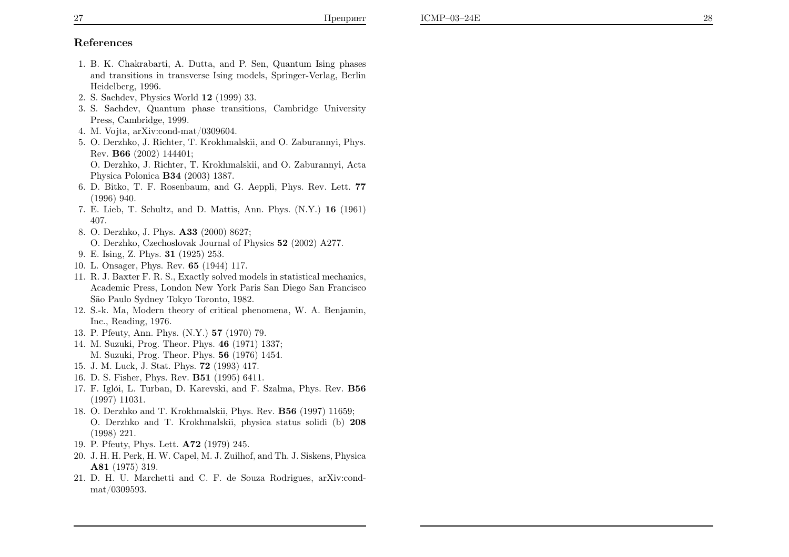# References

- 1. B. K. Chakrabarti, A. Dutta, and P. Sen, Quantum Ising <sup>p</sup>hases and transitions in transverse Ising models, Springer-Verlag, BerlinHeidelberg, 1996.
- 2. S. Sachdev, Physics World <sup>12</sup> (1999) 33.
- 3. S. Sachdev, Quantum <sup>p</sup>hase transitions, Cambridge UniversityPress, Cambridge, 1999.
- 4. M. Vojta, arXiv:cond-mat/0309604.
- 5. O. Derzhko, J. Richter, T. Krokhmalskii, and O. Zaburannyi, Phys.Rev. **B66** (2002) 144401;

O. Derzhko, J. Richter, T. Krokhmalskii, and O. Zaburannyi, ActaPhysica Polonica B34 (2003) 1387.

- 6. D. Bitko, T. F. Rosenbaum, and G. Aeppli, Phys. Rev. Lett. 77(1996) 940.
- 7. E. Lieb, T. Schultz, and D. Mattis, Ann. Phys. (N.Y.) <sup>16</sup> (1961) 407.
- 8. O. Derzhko, J. Phys. A33 (2000) 8627;
	- O. Derzhko, Czechoslovak Journal of Physics <sup>52</sup> (2002) A277.
- 9. E. Ising, Z. Phys. 31 (1925) 253.
- 10. L. Onsager, Phys. Rev. 65 (1944) 117.
- 11. R. J. Baxter F. R. S., Exactly solved models in statistical mechanics,Academic Press, London New York Paris San Diego San FranciscoS˜ao Paulo Sydney Tokyo Toronto, 1982.
- 12. S.-k. Ma, Modern theory of critical <sup>p</sup>henomena, W. A. Benjamin,Inc., Reading, 1976.
- 13. P. Pfeuty, Ann. Phys. (N.Y.) <sup>57</sup> (1970) 79.
- 14. M. Suzuki, Prog. Theor. Phys. 46 (1971) 1337; M. Suzuki, Prog. Theor. Phys. 56 (1976) 1454.
- 15. J. M. Luck, J. Stat. Phys. 72 (1993) 417.
- 16. D. S. Fisher, Phys. Rev. B51 (1995) 6411.
- 17. F. Iglói, L. Turban, D. Karevski, and F. Szalma, Phys. Rev. **B56** (1997) 11031.
- 18. O. Derzhko and T. Krokhmalskii, Phys. Rev. B56 (1997) 11659; O. Derzhko and T. Krokhmalskii, <sup>p</sup>hysica status solidi (b) <sup>208</sup>(1998) 221.
- 19. P. Pfeuty, Phys. Lett. A72 (1979) 245.
- 20. J. H. H. Perk, H. W. Capel, M. J. Zuilhof, and Th. J. Siskens, PhysicaA81 (1975) 319.
- 21. D. H. U. Marchetti and C. F. de Souza Rodrigues, arXiv:condmat/0309593.